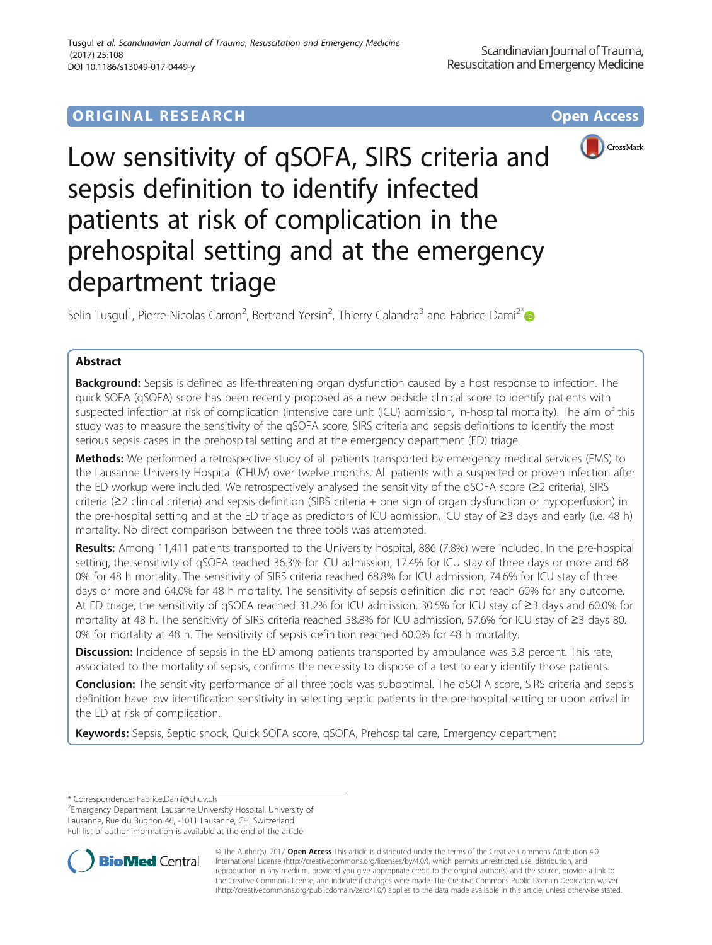# **ORIGINAL RESEARCH CONSUMING ACCESS**



Low sensitivity of qSOFA, SIRS criteria and sepsis definition to identify infected patients at risk of complication in the prehospital setting and at the emergency department triage

Selin Tusgul<sup>1</sup>, Pierre-Nicolas Carron<sup>2</sup>, Bertrand Yersin<sup>2</sup>, Thierry Calandra<sup>3</sup> and Fabrice Dami<sup>2\*</sup>

# Abstract

Background: Sepsis is defined as life-threatening organ dysfunction caused by a host response to infection. The quick SOFA (qSOFA) score has been recently proposed as a new bedside clinical score to identify patients with suspected infection at risk of complication (intensive care unit (ICU) admission, in-hospital mortality). The aim of this study was to measure the sensitivity of the qSOFA score, SIRS criteria and sepsis definitions to identify the most serious sepsis cases in the prehospital setting and at the emergency department (ED) triage.

Methods: We performed a retrospective study of all patients transported by emergency medical services (EMS) to the Lausanne University Hospital (CHUV) over twelve months. All patients with a suspected or proven infection after the ED workup were included. We retrospectively analysed the sensitivity of the qSOFA score (≥2 criteria), SIRS criteria (≥2 clinical criteria) and sepsis definition (SIRS criteria + one sign of organ dysfunction or hypoperfusion) in the pre-hospital setting and at the ED triage as predictors of ICU admission, ICU stay of ≥3 days and early (i.e. 48 h) mortality. No direct comparison between the three tools was attempted.

Results: Among 11,411 patients transported to the University hospital, 886 (7.8%) were included. In the pre-hospital setting, the sensitivity of qSOFA reached 36.3% for ICU admission, 17.4% for ICU stay of three days or more and 68. 0% for 48 h mortality. The sensitivity of SIRS criteria reached 68.8% for ICU admission, 74.6% for ICU stay of three days or more and 64.0% for 48 h mortality. The sensitivity of sepsis definition did not reach 60% for any outcome. At ED triage, the sensitivity of qSOFA reached 31.2% for ICU admission, 30.5% for ICU stay of ≥3 days and 60.0% for mortality at 48 h. The sensitivity of SIRS criteria reached 58.8% for ICU admission, 57.6% for ICU stay of ≥3 days 80. 0% for mortality at 48 h. The sensitivity of sepsis definition reached 60.0% for 48 h mortality.

Discussion: Incidence of sepsis in the ED among patients transported by ambulance was 3.8 percent. This rate, associated to the mortality of sepsis, confirms the necessity to dispose of a test to early identify those patients.

Conclusion: The sensitivity performance of all three tools was suboptimal. The qSOFA score, SIRS criteria and sepsis definition have low identification sensitivity in selecting septic patients in the pre-hospital setting or upon arrival in the ED at risk of complication.

Keywords: Sepsis, Septic shock, Quick SOFA score, qSOFA, Prehospital care, Emergency department

<sup>2</sup>Emergency Department, Lausanne University Hospital, University of Lausanne, Rue du Bugnon 46, -1011 Lausanne, CH, Switzerland Full list of author information is available at the end of the article



© The Author(s). 2017 **Open Access** This article is distributed under the terms of the Creative Commons Attribution 4.0 International License [\(http://creativecommons.org/licenses/by/4.0/](http://creativecommons.org/licenses/by/4.0/)), which permits unrestricted use, distribution, and reproduction in any medium, provided you give appropriate credit to the original author(s) and the source, provide a link to the Creative Commons license, and indicate if changes were made. The Creative Commons Public Domain Dedication waiver [\(http://creativecommons.org/publicdomain/zero/1.0/](http://creativecommons.org/publicdomain/zero/1.0/)) applies to the data made available in this article, unless otherwise stated.

<sup>\*</sup> Correspondence: [Fabrice.Dami@chuv.ch](mailto:Fabrice.Dami@chuv.ch) <sup>2</sup>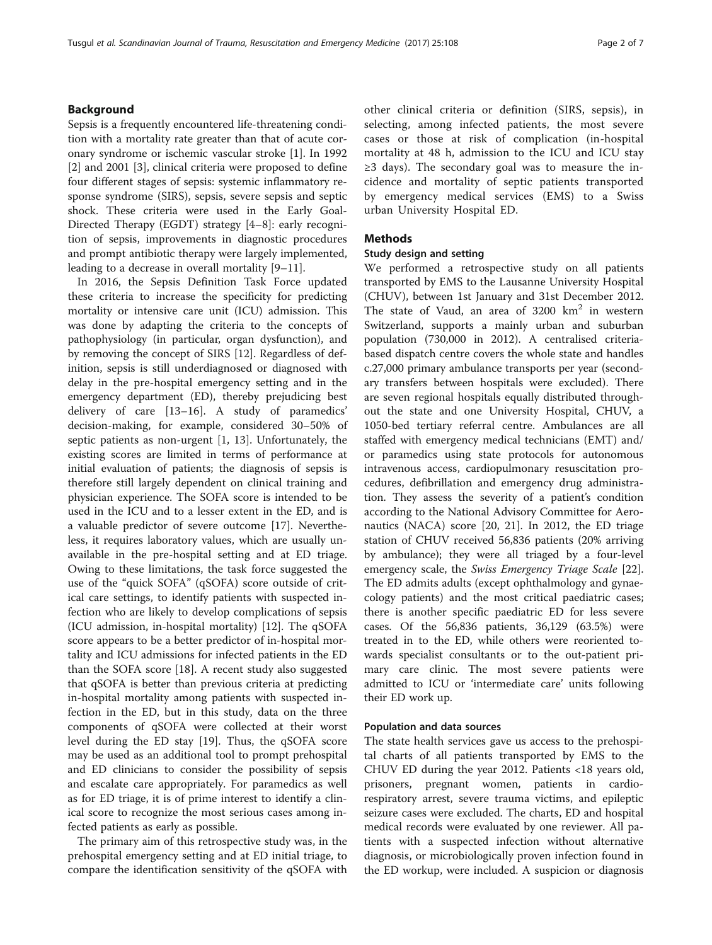# Background

Sepsis is a frequently encountered life-threatening condition with a mortality rate greater than that of acute coronary syndrome or ischemic vascular stroke [\[1](#page-5-0)]. In 1992 [[2\]](#page-5-0) and 2001 [[3\]](#page-5-0), clinical criteria were proposed to define four different stages of sepsis: systemic inflammatory response syndrome (SIRS), sepsis, severe sepsis and septic shock. These criteria were used in the Early Goal-Directed Therapy (EGDT) strategy [[4](#page-5-0)–[8](#page-5-0)]: early recognition of sepsis, improvements in diagnostic procedures and prompt antibiotic therapy were largely implemented, leading to a decrease in overall mortality [[9](#page-5-0)–[11](#page-5-0)].

In 2016, the Sepsis Definition Task Force updated these criteria to increase the specificity for predicting mortality or intensive care unit (ICU) admission. This was done by adapting the criteria to the concepts of pathophysiology (in particular, organ dysfunction), and by removing the concept of SIRS [\[12\]](#page-5-0). Regardless of definition, sepsis is still underdiagnosed or diagnosed with delay in the pre-hospital emergency setting and in the emergency department (ED), thereby prejudicing best delivery of care [\[13](#page-5-0)–[16\]](#page-5-0). A study of paramedics' decision-making, for example, considered 30–50% of septic patients as non-urgent [\[1, 13\]](#page-5-0). Unfortunately, the existing scores are limited in terms of performance at initial evaluation of patients; the diagnosis of sepsis is therefore still largely dependent on clinical training and physician experience. The SOFA score is intended to be used in the ICU and to a lesser extent in the ED, and is a valuable predictor of severe outcome [[17\]](#page-5-0). Nevertheless, it requires laboratory values, which are usually unavailable in the pre-hospital setting and at ED triage. Owing to these limitations, the task force suggested the use of the "quick SOFA" (qSOFA) score outside of critical care settings, to identify patients with suspected infection who are likely to develop complications of sepsis (ICU admission, in-hospital mortality) [\[12](#page-5-0)]. The qSOFA score appears to be a better predictor of in-hospital mortality and ICU admissions for infected patients in the ED than the SOFA score [[18](#page-6-0)]. A recent study also suggested that qSOFA is better than previous criteria at predicting in-hospital mortality among patients with suspected infection in the ED, but in this study, data on the three components of qSOFA were collected at their worst level during the ED stay [[19\]](#page-6-0). Thus, the qSOFA score may be used as an additional tool to prompt prehospital and ED clinicians to consider the possibility of sepsis and escalate care appropriately. For paramedics as well as for ED triage, it is of prime interest to identify a clinical score to recognize the most serious cases among infected patients as early as possible.

The primary aim of this retrospective study was, in the prehospital emergency setting and at ED initial triage, to compare the identification sensitivity of the qSOFA with other clinical criteria or definition (SIRS, sepsis), in selecting, among infected patients, the most severe cases or those at risk of complication (in-hospital mortality at 48 h, admission to the ICU and ICU stay ≥3 days). The secondary goal was to measure the incidence and mortality of septic patients transported by emergency medical services (EMS) to a Swiss urban University Hospital ED.

# **Methods**

## Study design and setting

We performed a retrospective study on all patients transported by EMS to the Lausanne University Hospital (CHUV), between 1st January and 31st December 2012. The state of Vaud, an area of  $3200 \text{ km}^2$  in western Switzerland, supports a mainly urban and suburban population (730,000 in 2012). A centralised criteriabased dispatch centre covers the whole state and handles c.27,000 primary ambulance transports per year (secondary transfers between hospitals were excluded). There are seven regional hospitals equally distributed throughout the state and one University Hospital, CHUV, a 1050-bed tertiary referral centre. Ambulances are all staffed with emergency medical technicians (EMT) and/ or paramedics using state protocols for autonomous intravenous access, cardiopulmonary resuscitation procedures, defibrillation and emergency drug administration. They assess the severity of a patient's condition according to the National Advisory Committee for Aeronautics (NACA) score [\[20, 21](#page-6-0)]. In 2012, the ED triage station of CHUV received 56,836 patients (20% arriving by ambulance); they were all triaged by a four-level emergency scale, the *Swiss Emergency Triage Scale* [\[22](#page-6-0)]. The ED admits adults (except ophthalmology and gynaecology patients) and the most critical paediatric cases; there is another specific paediatric ED for less severe cases. Of the 56,836 patients, 36,129 (63.5%) were treated in to the ED, while others were reoriented towards specialist consultants or to the out-patient primary care clinic. The most severe patients were admitted to ICU or 'intermediate care' units following their ED work up.

### Population and data sources

The state health services gave us access to the prehospital charts of all patients transported by EMS to the CHUV ED during the year 2012. Patients <18 years old, prisoners, pregnant women, patients in cardiorespiratory arrest, severe trauma victims, and epileptic seizure cases were excluded. The charts, ED and hospital medical records were evaluated by one reviewer. All patients with a suspected infection without alternative diagnosis, or microbiologically proven infection found in the ED workup, were included. A suspicion or diagnosis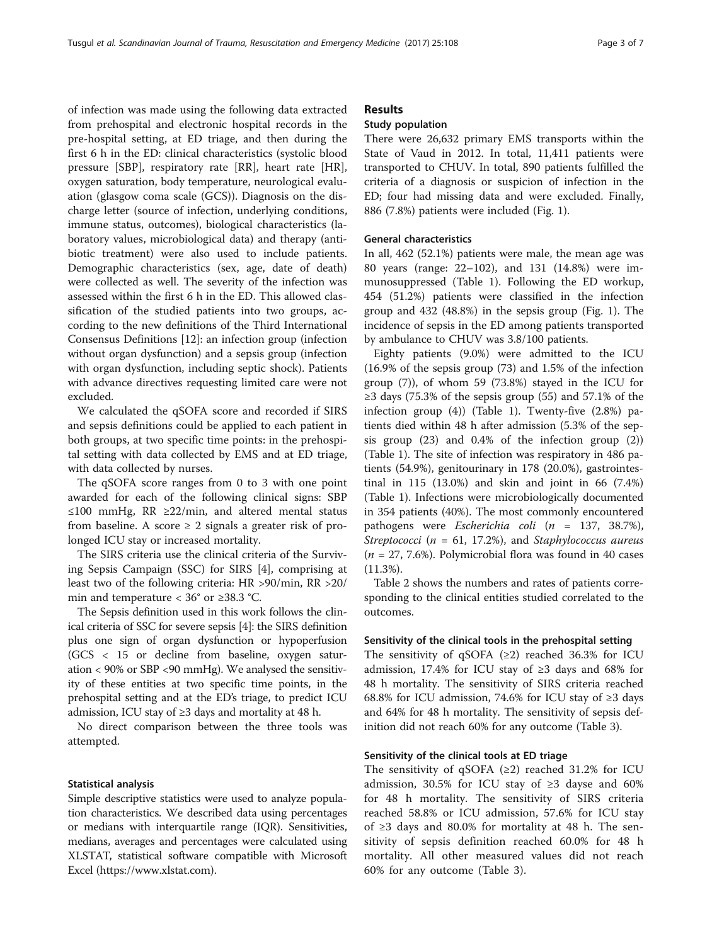of infection was made using the following data extracted from prehospital and electronic hospital records in the pre-hospital setting, at ED triage, and then during the first 6 h in the ED: clinical characteristics (systolic blood pressure [SBP], respiratory rate [RR], heart rate [HR], oxygen saturation, body temperature, neurological evaluation (glasgow coma scale (GCS)). Diagnosis on the discharge letter (source of infection, underlying conditions, immune status, outcomes), biological characteristics (laboratory values, microbiological data) and therapy (antibiotic treatment) were also used to include patients. Demographic characteristics (sex, age, date of death) were collected as well. The severity of the infection was assessed within the first 6 h in the ED. This allowed classification of the studied patients into two groups, according to the new definitions of the Third International Consensus Definitions [\[12](#page-5-0)]: an infection group (infection without organ dysfunction) and a sepsis group (infection with organ dysfunction, including septic shock). Patients with advance directives requesting limited care were not excluded.

We calculated the qSOFA score and recorded if SIRS and sepsis definitions could be applied to each patient in both groups, at two specific time points: in the prehospital setting with data collected by EMS and at ED triage, with data collected by nurses.

The qSOFA score ranges from 0 to 3 with one point awarded for each of the following clinical signs: SBP ≤100 mmHg, RR ≥22/min, and altered mental status from baseline. A score  $\geq 2$  signals a greater risk of prolonged ICU stay or increased mortality.

The SIRS criteria use the clinical criteria of the Surviving Sepsis Campaign (SSC) for SIRS [[4\]](#page-5-0), comprising at least two of the following criteria: HR >90/min, RR >20/ min and temperature < 36° or ≥38.3 °C.

The Sepsis definition used in this work follows the clinical criteria of SSC for severe sepsis [[4\]](#page-5-0): the SIRS definition plus one sign of organ dysfunction or hypoperfusion (GCS < 15 or decline from baseline, oxygen saturation < 90% or SBP <90 mmHg). We analysed the sensitivity of these entities at two specific time points, in the prehospital setting and at the ED's triage, to predict ICU admission, ICU stay of ≥3 days and mortality at 48 h.

No direct comparison between the three tools was attempted.

### Statistical analysis

Simple descriptive statistics were used to analyze population characteristics. We described data using percentages or medians with interquartile range (IQR). Sensitivities, medians, averages and percentages were calculated using XLSTAT, statistical software compatible with Microsoft Excel (<https://www.xlstat.com>).

# Results

### Study population

There were 26,632 primary EMS transports within the State of Vaud in 2012. In total, 11,411 patients were transported to CHUV. In total, 890 patients fulfilled the criteria of a diagnosis or suspicion of infection in the ED; four had missing data and were excluded. Finally, 886 (7.8%) patients were included (Fig. [1](#page-3-0)).

### General characteristics

In all, 462 (52.1%) patients were male, the mean age was 80 years (range: 22–102), and 131 (14.8%) were immunosuppressed (Table [1\)](#page-3-0). Following the ED workup, 454 (51.2%) patients were classified in the infection group and 432 (48.8%) in the sepsis group (Fig. [1](#page-3-0)). The incidence of sepsis in the ED among patients transported by ambulance to CHUV was 3.8/100 patients.

Eighty patients (9.0%) were admitted to the ICU (16.9% of the sepsis group (73) and 1.5% of the infection group (7)), of whom 59 (73.8%) stayed in the ICU for ≥3 days (75.3% of the sepsis group (55) and 57.1% of the infection group (4)) (Table [1](#page-3-0)). Twenty-five (2.8%) patients died within 48 h after admission (5.3% of the sepsis group (23) and 0.4% of the infection group (2)) (Table [1\)](#page-3-0). The site of infection was respiratory in 486 patients (54.9%), genitourinary in 178 (20.0%), gastrointestinal in 115 (13.0%) and skin and joint in 66 (7.4%) (Table [1\)](#page-3-0). Infections were microbiologically documented in 354 patients (40%). The most commonly encountered pathogens were *Escherichia coli*  $(n = 137, 38.7\%)$ , Streptococci ( $n = 61, 17.2\%$ ), and Staphylococcus aureus  $(n = 27, 7.6\%)$ . Polymicrobial flora was found in 40 cases  $(11.3\%)$ .

Table [2](#page-4-0) shows the numbers and rates of patients corresponding to the clinical entities studied correlated to the outcomes.

### Sensitivity of the clinical tools in the prehospital setting

The sensitivity of qSOFA  $(\geq 2)$  reached 36.3% for ICU admission, 17.4% for ICU stay of ≥3 days and 68% for 48 h mortality. The sensitivity of SIRS criteria reached 68.8% for ICU admission, 74.6% for ICU stay of ≥3 days and 64% for 48 h mortality. The sensitivity of sepsis definition did not reach 60% for any outcome (Table [3](#page-4-0)).

### Sensitivity of the clinical tools at ED triage

The sensitivity of qSOFA  $(\geq 2)$  reached 31.2% for ICU admission, 30.5% for ICU stay of ≥3 dayse and 60% for 48 h mortality. The sensitivity of SIRS criteria reached 58.8% or ICU admission, 57.6% for ICU stay of ≥3 days and 80.0% for mortality at 48 h. The sensitivity of sepsis definition reached 60.0% for 48 h mortality. All other measured values did not reach 60% for any outcome (Table [3\)](#page-4-0).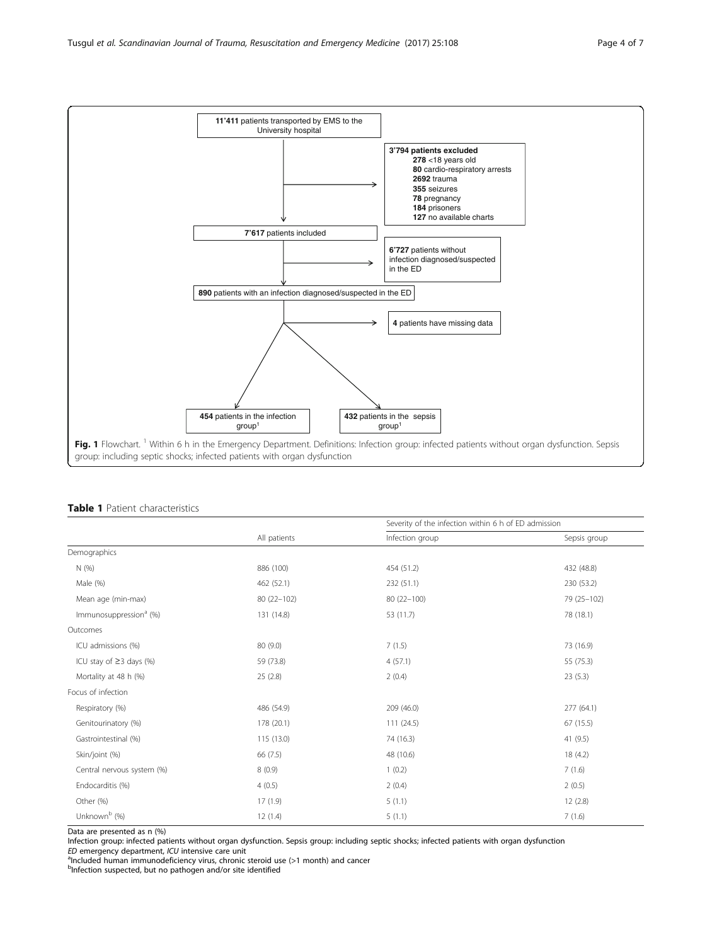<span id="page-3-0"></span>

### Table 1 Patient characteristics

|                                    | All patients | Severity of the infection within 6 h of ED admission |              |  |
|------------------------------------|--------------|------------------------------------------------------|--------------|--|
|                                    |              | Infection group                                      | Sepsis group |  |
| Demographics                       |              |                                                      |              |  |
| N(%)                               | 886 (100)    | 454 (51.2)                                           | 432 (48.8)   |  |
| Male (%)                           | 462 (52.1)   | 232 (51.1)                                           | 230 (53.2)   |  |
| Mean age (min-max)                 | 80 (22-102)  | 80 (22-100)                                          | 79 (25-102)  |  |
| Immunosuppression <sup>a</sup> (%) | 131 (14.8)   | 53 (11.7)                                            | 78 (18.1)    |  |
| Outcomes                           |              |                                                      |              |  |
| ICU admissions (%)                 | 80 (9.0)     | 7(1.5)                                               | 73 (16.9)    |  |
| ICU stay of $\geq$ 3 days (%)      | 59 (73.8)    | 4(57.1)                                              | 55 (75.3)    |  |
| Mortality at 48 h (%)              | 25(2.8)      | 2(0.4)                                               | 23(5.3)      |  |
| Focus of infection                 |              |                                                      |              |  |
| Respiratory (%)                    | 486 (54.9)   | 209 (46.0)                                           | 277 (64.1)   |  |
| Genitourinatory (%)                | 178 (20.1)   | 111(24.5)                                            | 67 (15.5)    |  |
| Gastrointestinal (%)               | 115 (13.0)   | 74 (16.3)                                            | 41 (9.5)     |  |
| Skin/joint (%)                     | 66 (7.5)     | 48 (10.6)                                            | 18(4.2)      |  |
| Central nervous system (%)         | 8(0.9)       | 1(0.2)                                               | 7(1.6)       |  |
| Endocarditis (%)                   | 4(0.5)       | 2(0.4)                                               | 2(0.5)       |  |
| Other (%)                          | 17(1.9)      | 5(1.1)                                               | 12(2.8)      |  |
| Unknown <sup>b</sup> (%)           | 12(1.4)      | 5(1.1)                                               | 7(1.6)       |  |

Data are presented as n (%)

Infection group: infected patients without organ dysfunction. Sepsis group: including septic shocks; infected patients with organ dysfunction ED emergency department, ICU intensive care unit

ED emergency department, ICU intensive care unit<br><sup>a</sup>Included human immunodeficiency virus, chronic steroid use (>1 month) and cancer

<sup>b</sup>Infection suspected, but no pathogen and/or site identified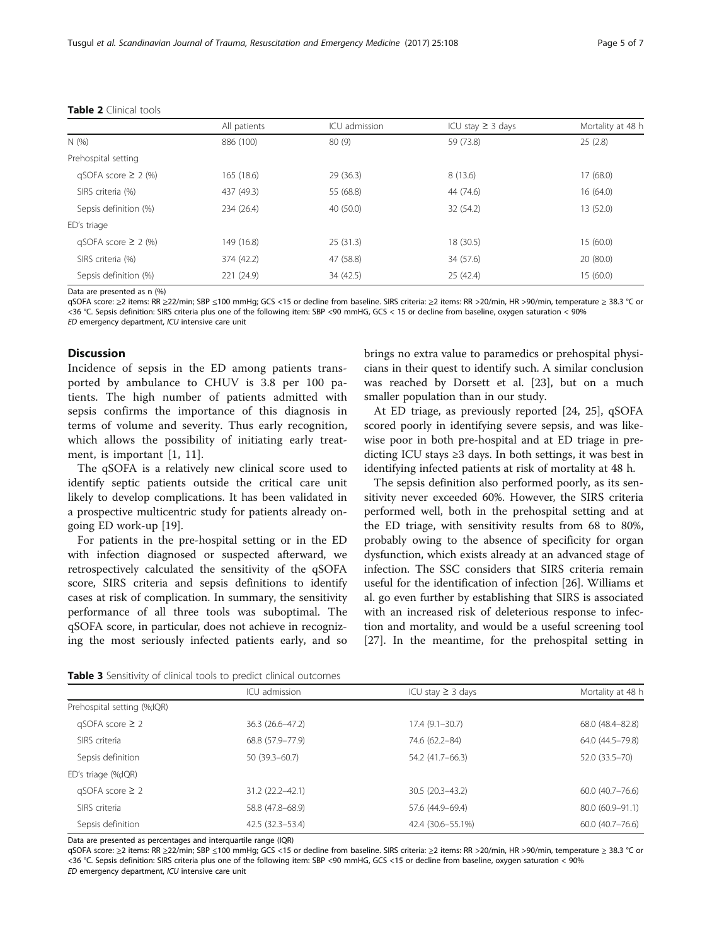|                            | All patients | ICU admission | ICU stay $\geq$ 3 days | Mortality at 48 h |
|----------------------------|--------------|---------------|------------------------|-------------------|
| N(%)                       | 886 (100)    | 80(9)         | 59 (73.8)              | 25(2.8)           |
| Prehospital setting        |              |               |                        |                   |
| $qSOFA$ score $\geq$ 2 (%) | 165 (18.6)   | 29 (36.3)     | 8(13.6)                | 17(68.0)          |
| SIRS criteria (%)          | 437 (49.3)   | 55 (68.8)     | 44 (74.6)              | 16(64.0)          |
| Sepsis definition (%)      | 234 (26.4)   | 40 (50.0)     | 32 (54.2)              | 13 (52.0)         |
| ED's triage                |              |               |                        |                   |
| $qSOFA$ score $\geq$ 2 (%) | 149 (16.8)   | 25(31.3)      | 18 (30.5)              | 15(60.0)          |
| SIRS criteria (%)          | 374 (42.2)   | 47 (58.8)     | 34 (57.6)              | 20(80.0)          |
| Sepsis definition (%)      | 221 (24.9)   | 34 (42.5)     | 25(42.4)               | 15(60.0)          |

<span id="page-4-0"></span>Table 2 Clinical tools

Data are presented as n (%)

qSOFA score: ≥2 items: RR ≥22/min; SBP ≤100 mmHg; GCS <15 or decline from baseline. SIRS criteria: ≥2 items: RR >20/min, HR >90/min, temperature ≥ 38.3 °C or <36 °C. Sepsis definition: SIRS criteria plus one of the following item: SBP <90 mmHG, GCS < 15 or decline from baseline, oxygen saturation < 90% ED emergency department, ICU intensive care unit

### **Discussion**

Incidence of sepsis in the ED among patients transported by ambulance to CHUV is 3.8 per 100 patients. The high number of patients admitted with sepsis confirms the importance of this diagnosis in terms of volume and severity. Thus early recognition, which allows the possibility of initiating early treatment, is important [[1, 11\]](#page-5-0).

The qSOFA is a relatively new clinical score used to identify septic patients outside the critical care unit likely to develop complications. It has been validated in a prospective multicentric study for patients already ongoing ED work-up [\[19](#page-6-0)].

For patients in the pre-hospital setting or in the ED with infection diagnosed or suspected afterward, we retrospectively calculated the sensitivity of the qSOFA score, SIRS criteria and sepsis definitions to identify cases at risk of complication. In summary, the sensitivity performance of all three tools was suboptimal. The qSOFA score, in particular, does not achieve in recognizing the most seriously infected patients early, and so brings no extra value to paramedics or prehospital physicians in their quest to identify such. A similar conclusion was reached by Dorsett et al. [[23](#page-6-0)], but on a much smaller population than in our study.

At ED triage, as previously reported [[24](#page-6-0), [25\]](#page-6-0), qSOFA scored poorly in identifying severe sepsis, and was likewise poor in both pre-hospital and at ED triage in predicting ICU stays ≥3 days. In both settings, it was best in identifying infected patients at risk of mortality at 48 h.

The sepsis definition also performed poorly, as its sensitivity never exceeded 60%. However, the SIRS criteria performed well, both in the prehospital setting and at the ED triage, with sensitivity results from 68 to 80%, probably owing to the absence of specificity for organ dysfunction, which exists already at an advanced stage of infection. The SSC considers that SIRS criteria remain useful for the identification of infection [\[26\]](#page-6-0). Williams et al. go even further by establishing that SIRS is associated with an increased risk of deleterious response to infection and mortality, and would be a useful screening tool [[27\]](#page-6-0). In the meantime, for the prehospital setting in

| Table 3 Sensitivity of clinical tools to predict clinical outcomes |
|--------------------------------------------------------------------|
|--------------------------------------------------------------------|

| ICU admission     | ICU stay $\geq$ 3 days | Mortality at 48 h   |
|-------------------|------------------------|---------------------|
|                   |                        |                     |
| 36.3 (26.6–47.2)  | $17.4(9.1-30.7)$       | 68.0 (48.4-82.8)    |
| 68.8 (57.9-77.9)  | 74.6 (62.2-84)         | 64.0 (44.5-79.8)    |
| 50 (39.3-60.7)    | 54.2 (41.7–66.3)       | 52.0 (33.5 - 70)    |
|                   |                        |                     |
| 31.2 (22.2–42.1)  | $30.5(20.3-43.2)$      | $60.0(40.7 - 76.6)$ |
| 58.8 (47.8-68.9)  | 57.6 (44.9-69.4)       | 80.0 (60.9-91.1)    |
| $42.5(32.3-53.4)$ | 42.4 (30.6-55.1%)      | $60.0(40.7 - 76.6)$ |
|                   |                        |                     |

Data are presented as percentages and interquartile range (IQR)

qSOFA score: ≥2 items: RR ≥22/min; SBP ≤100 mmHg; GCS <15 or decline from baseline. SIRS criteria: ≥2 items: RR >20/min, HR >90/min, temperature ≥ 38.3 °C or <36 °C. Sepsis definition: SIRS criteria plus one of the following item: SBP <90 mmHG, GCS <15 or decline from baseline, oxygen saturation < 90% ED emergency department, ICU intensive care unit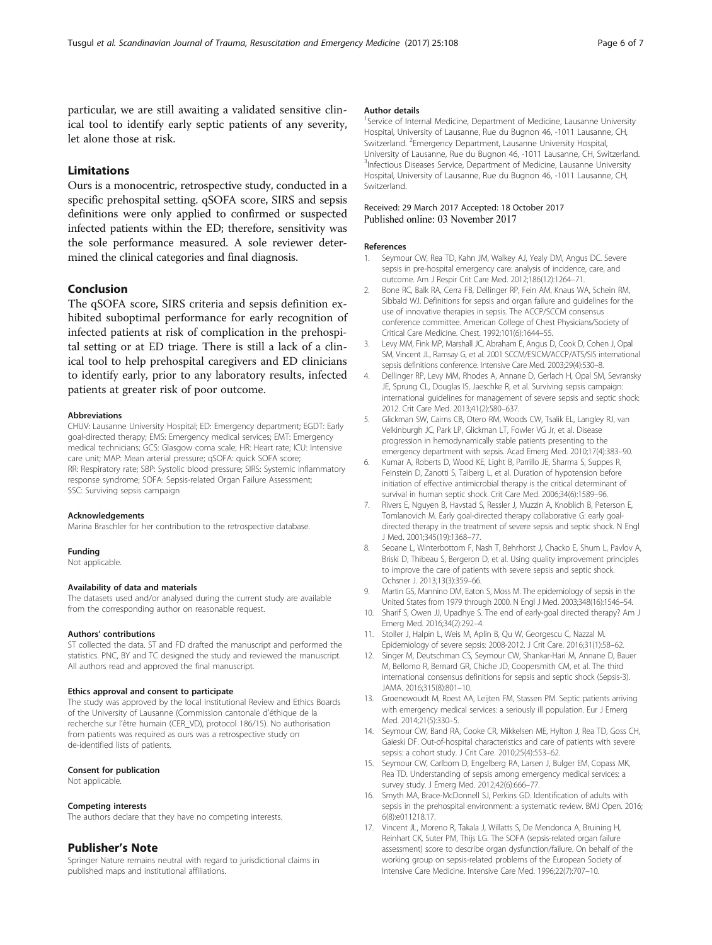<span id="page-5-0"></span>particular, we are still awaiting a validated sensitive clinical tool to identify early septic patients of any severity, let alone those at risk.

# Limitations

Ours is a monocentric, retrospective study, conducted in a specific prehospital setting. qSOFA score, SIRS and sepsis definitions were only applied to confirmed or suspected infected patients within the ED; therefore, sensitivity was the sole performance measured. A sole reviewer determined the clinical categories and final diagnosis.

# Conclusion

The qSOFA score, SIRS criteria and sepsis definition exhibited suboptimal performance for early recognition of infected patients at risk of complication in the prehospital setting or at ED triage. There is still a lack of a clinical tool to help prehospital caregivers and ED clinicians to identify early, prior to any laboratory results, infected patients at greater risk of poor outcome.

### Abbreviations

CHUV: Lausanne University Hospital; ED: Emergency department; EGDT: Early goal-directed therapy; EMS: Emergency medical services; EMT: Emergency medical technicians; GCS: Glasgow coma scale; HR: Heart rate; ICU: Intensive care unit; MAP: Mean arterial pressure; qSOFA: quick SOFA score; RR: Respiratory rate; SBP: Systolic blood pressure; SIRS: Systemic inflammatory response syndrome; SOFA: Sepsis-related Organ Failure Assessment; SSC: Surviving sepsis campaign

#### Acknowledgements

Marina Braschler for her contribution to the retrospective database.

#### Funding

Not applicable.

#### Availability of data and materials

The datasets used and/or analysed during the current study are available from the corresponding author on reasonable request.

### Authors' contributions

ST collected the data. ST and FD drafted the manuscript and performed the statistics. PNC, BY and TC designed the study and reviewed the manuscript. All authors read and approved the final manuscript.

#### Ethics approval and consent to participate

The study was approved by the local Institutional Review and Ethics Boards of the University of Lausanne (Commission cantonale d'éthique de la recherche sur l'être humain (CER\_VD), protocol 186/15). No authorisation from patients was required as ours was a retrospective study on de-identified lists of patients.

#### Consent for publication

Not applicable.

### Competing interests

The authors declare that they have no competing interests.

### Publisher's Note

Springer Nature remains neutral with regard to jurisdictional claims in published maps and institutional affiliations.

#### Author details

<sup>1</sup>Service of Internal Medicine, Department of Medicine, Lausanne University Hospital, University of Lausanne, Rue du Bugnon 46, -1011 Lausanne, CH, Switzerland. <sup>2</sup>Emergency Department, Lausanne University Hospital University of Lausanne, Rue du Bugnon 46, -1011 Lausanne, CH, Switzerland. <sup>3</sup>Infectious Diseases Service, Department of Medicine, Lausanne University Hospital, University of Lausanne, Rue du Bugnon 46, -1011 Lausanne, CH, Switzerland.

### Received: 29 March 2017 Accepted: 18 October 2017 Published online: 03 November 2017

#### References

- Seymour CW, Rea TD, Kahn JM, Walkey AJ, Yealy DM, Angus DC. Severe sepsis in pre-hospital emergency care: analysis of incidence, care, and outcome. Am J Respir Crit Care Med. 2012;186(12):1264–71.
- 2. Bone RC, Balk RA, Cerra FB, Dellinger RP, Fein AM, Knaus WA, Schein RM, Sibbald WJ. Definitions for sepsis and organ failure and guidelines for the use of innovative therapies in sepsis. The ACCP/SCCM consensus conference committee. American College of Chest Physicians/Society of Critical Care Medicine. Chest. 1992;101(6):1644–55.
- 3. Levy MM, Fink MP, Marshall JC, Abraham E, Angus D, Cook D, Cohen J, Opal SM, Vincent JL, Ramsay G, et al. 2001 SCCM/ESICM/ACCP/ATS/SIS international sepsis definitions conference. Intensive Care Med. 2003;29(4):530–8.
- 4. Dellinger RP, Levy MM, Rhodes A, Annane D, Gerlach H, Opal SM, Sevransky JE, Sprung CL, Douglas IS, Jaeschke R, et al. Surviving sepsis campaign: international guidelines for management of severe sepsis and septic shock: 2012. Crit Care Med. 2013;41(2):580–637.
- 5. Glickman SW, Cairns CB, Otero RM, Woods CW, Tsalik EL, Langley RJ, van Velkinburgh JC, Park LP, Glickman LT, Fowler VG Jr, et al. Disease progression in hemodynamically stable patients presenting to the emergency department with sepsis. Acad Emerg Med. 2010;17(4):383–90.
- 6. Kumar A, Roberts D, Wood KE, Light B, Parrillo JE, Sharma S, Suppes R, Feinstein D, Zanotti S, Taiberg L, et al. Duration of hypotension before initiation of effective antimicrobial therapy is the critical determinant of survival in human septic shock. Crit Care Med. 2006;34(6):1589–96.
- 7. Rivers E, Nguyen B, Havstad S, Ressler J, Muzzin A, Knoblich B, Peterson E, Tomlanovich M. Early goal-directed therapy collaborative G: early goaldirected therapy in the treatment of severe sepsis and septic shock. N Engl J Med. 2001;345(19):1368–77.
- Seoane L, Winterbottom F, Nash T, Behrhorst J, Chacko E, Shum L, Pavlov A, Briski D, Thibeau S, Bergeron D, et al. Using quality improvement principles to improve the care of patients with severe sepsis and septic shock. Ochsner J. 2013;13(3):359–66.
- 9. Martin GS, Mannino DM, Eaton S, Moss M. The epidemiology of sepsis in the United States from 1979 through 2000. N Engl J Med. 2003;348(16):1546–54.
- 10. Sharif S, Owen JJ, Upadhye S. The end of early-goal directed therapy? Am J Emerg Med. 2016;34(2):292–4.
- 11. Stoller J, Halpin L, Weis M, Aplin B, Qu W, Georgescu C, Nazzal M. Epidemiology of severe sepsis: 2008-2012. J Crit Care. 2016;31(1):58–62.
- 12. Singer M, Deutschman CS, Seymour CW, Shankar-Hari M, Annane D, Bauer M, Bellomo R, Bernard GR, Chiche JD, Coopersmith CM, et al. The third international consensus definitions for sepsis and septic shock (Sepsis-3). JAMA. 2016;315(8):801–10.
- 13. Groenewoudt M, Roest AA, Leijten FM, Stassen PM. Septic patients arriving with emergency medical services: a seriously ill population. Eur J Emerg Med. 2014;21(5):330–5.
- 14. Seymour CW, Band RA, Cooke CR, Mikkelsen ME, Hylton J, Rea TD, Goss CH, Gaieski DF. Out-of-hospital characteristics and care of patients with severe sepsis: a cohort study. J Crit Care. 2010;25(4):553–62.
- 15. Seymour CW, Carlbom D, Engelberg RA, Larsen J, Bulger EM, Copass MK, Rea TD. Understanding of sepsis among emergency medical services: a survey study. J Emerg Med. 2012;42(6):666–77.
- 16. Smyth MA, Brace-McDonnell SJ, Perkins GD. Identification of adults with sepsis in the prehospital environment: a systematic review. BMJ Open. 2016; 6(8):e011218.17.
- 17. Vincent JL, Moreno R, Takala J, Willatts S, De Mendonca A, Bruining H, Reinhart CK, Suter PM, Thijs LG. The SOFA (sepsis-related organ failure assessment) score to describe organ dysfunction/failure. On behalf of the working group on sepsis-related problems of the European Society of Intensive Care Medicine. Intensive Care Med. 1996;22(7):707–10.